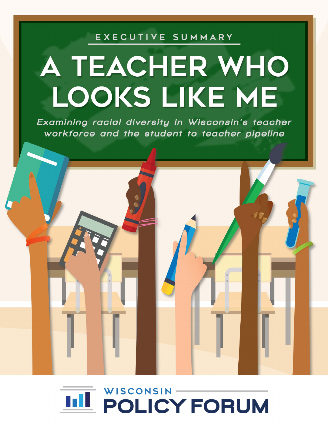# EXECUTIVE SUMMARY

# A TEACHER WHO LOOKS LIKE ME

Examining racial diversity in Wisconsin's teacher workforce and the student-to-teacher pipeline

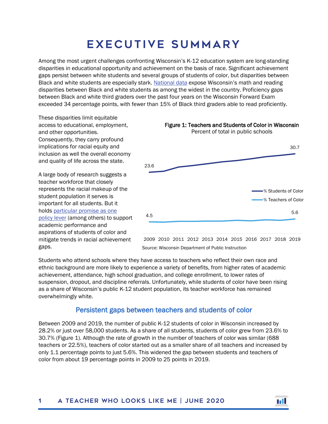# Executive Summary

Among the most urgent challenges confronting Wisconsin's K-12 education system are long-standing disparities in educational opportunity and achievement on the basis of race. Significant achievement gaps persist between white students and several groups of students of color, but disparities between Black and white students are especially stark. [National data](https://www.nationsreportcard.gov/data_tools.aspx) expose Wisconsin's math and reading disparities between Black and white students as among the widest in the country. Proficiency gaps between Black and white third graders over the past four years on the Wisconsin Forward Exam exceeded 34 percentage points, with fewer than 15% of Black third graders able to read proficiently.

These disparities limit equitable access to educational, employment, and other opportunities. Consequently, they carry profound implications for racial equity and inclusion as well the overall economy and quality of life across the state.

A large body of research suggests a teacher workforce that closely represents the racial makeup of the student population it serves is important for all students. But it holds [particular promise as one](https://learningpolicyinstitute.org/product/diversifying-teaching-profession-report)  [policy lever](https://learningpolicyinstitute.org/product/diversifying-teaching-profession-report) (among others) to support academic performance and aspirations of students of color and mitigate trends in racial achievement gaps.



Source: Wisconsin Department of Public Instruction

Students who attend schools where they have access to teachers who reflect their own race and ethnic background are more likely to experience a variety of benefits, from higher rates of academic achievement, attendance, high school graduation, and college enrollment, to lower rates of suspension, dropout, and discipline referrals. Unfortunately, while students of color have been rising as a share of Wisconsin's public K-12 student population, its teacher workforce has remained overwhelmingly white.

## Persistent gaps between teachers and students of color

Between 2009 and 2019, the number of public K-12 students of color in Wisconsin increased by 28.2% or just over 58,000 students. As a share of all students, students of color grew from 23.6% to 30.7% (Figure 1). Although the rate of growth in the number of teachers of color was similar (688 teachers or 22.5%), teachers of color started out as a smaller share of all teachers and increased by only 1.1 percentage points to just 5.6%. This widened the gap between students and teachers of color from about 19 percentage points in 2009 to 25 points in 2019.

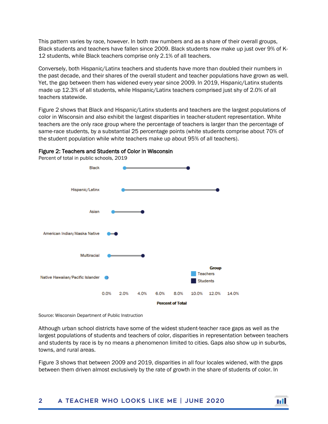This pattern varies by race, however. In both raw numbers and as a share of their overall groups, Black students and teachers have fallen since 2009. Black students now make up just over 9% of K-12 students, while Black teachers comprise only 2.1% of all teachers.

Conversely, both Hispanic/Latinx teachers and students have more than doubled their numbers in the past decade, and their shares of the overall student and teacher populations have grown as well. Yet, the gap between them has widened every year since 2009. In 2019, Hispanic/Latinx students made up 12.3% of all students, while Hispanic/Latinx teachers comprised just shy of 2.0% of all teachers statewide.

Figure 2 shows that Black and Hispanic/Latinx students and teachers are the largest populations of color in Wisconsin and also exhibit the largest disparities in teacher-student representation. White teachers are the only race group where the percentage of teachers is larger than the percentage of same-race students, by a substantial 25 percentage points (white students comprise about 70% of the student population while white teachers make up about 95% of all teachers).





Source: Wisconsin Department of Public Instruction

Although urban school districts have some of the widest student-teacher race gaps as well as the largest populations of students and teachers of color, disparities in representation between teachers and students by race is by no means a phenomenon limited to cities. Gaps also show up in suburbs, towns, and rural areas.

Figure 3 shows that between 2009 and 2019, disparities in all four locales widened, with the gaps between them driven almost exclusively by the rate of growth in the share of students of color. In

#### 2 A Teacher who looks Like me | June 2020

m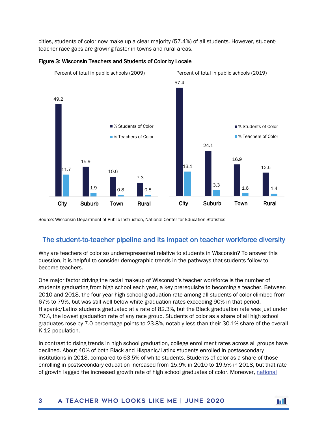cities, students of color now make up a clear majority (57.4%) of all students. However, studentteacher race gaps are growing faster in towns and rural areas.



#### Figure 3: Wisconsin Teachers and Students of Color by Locale

Source: Wisconsin Department of Public Instruction, National Center for Education Statistics

## The student-to-teacher pipeline and its impact on teacher workforce diversity

Why are teachers of color so underrepresented relative to students in Wisconsin? To answer this question, it is helpful to consider demographic trends in the pathways that students follow to become teachers.

One major factor driving the racial makeup of Wisconsin's teacher workforce is the number of students graduating from high school each year, a key prerequisite to becoming a teacher. Between 2010 and 2018, the four-year high school graduation rate among all students of color climbed from 67% to 79%, but was still well below white graduation rates exceeding 90% in that period. Hispanic/Latinx students graduated at a rate of 82.3%, but the Black graduation rate was just under 70%, the lowest graduation rate of any race group. Students of color as a share of all high school graduates rose by 7.0 percentage points to 23.8%, notably less than their 30.1% share of the overall K-12 population.

In contrast to rising trends in high school graduation, college enrollment rates across all groups have declined. About 40% of both Black and Hispanic/Latinx students enrolled in postsecondary institutions in 2018, compared to 63.5% of white students. Students of color as a share of those enrolling in postsecondary education increased from 15.9% in 2010 to 19.5% in 2018, but that rate of growth lagged the increased growth rate of high school graduates of color. Moreover, [national](https://www2.ed.gov/rschstat/eval/highered/racial-diversity/state-racial-diversity-workforce.pdf)

#### 3 A Teacher who looks Like me | June 2020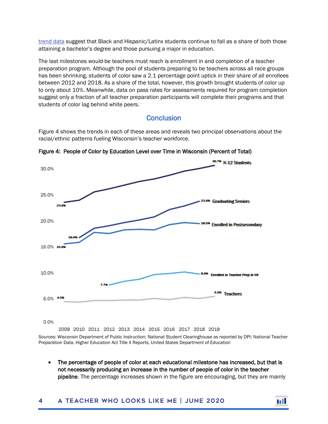[trend](https://www2.ed.gov/rschstat/eval/highered/racial-diversity/state-racial-diversity-workforce.pdf) data suggest that Black and Hispanic/Latinx students continue to fall as a share of both those attaining a bachelor's degree and those pursuing a major in education.

The last milestones would-be teachers must reach is enrollment in and completion of a teacher preparation program. Although the pool of students preparing to be teachers across all race groups has been shrinking, students of color saw a 2.1 percentage point uptick in their share of all enrollees between 2012 and 2018. As a share of the total, however, this growth brought students of color up to only about 10%. Meanwhile, data on pass rates for assessments required for program completion suggest only a fraction of all teacher preparation participants will complete their programs and that students of color lag behind white peers.

**Conclusion** 

Figure 4 shows the trends in each of these areas and reveals two principal observations about the racial/ethnic patterns fueling Wisconsin's teacher workforce.



Figure 4: People of Color by Education Level over Time in Wisconsin (Percent of Total)

Sources: Wisconsin Department of Public Instruction; National Student Clearinghouse as reported by DPI; National Teacher Preparation Data, Higher Education Act Title II Reports, United States Department of Education

The percentage of people of color at each educational milestone has increased, but that is not necessarily producing an increase in the number of people of color in the teacher pipeline. The percentage increases shown in the figure are encouraging, but they are mainly

### 4 A Teacher who looks Like me | June 2020

m